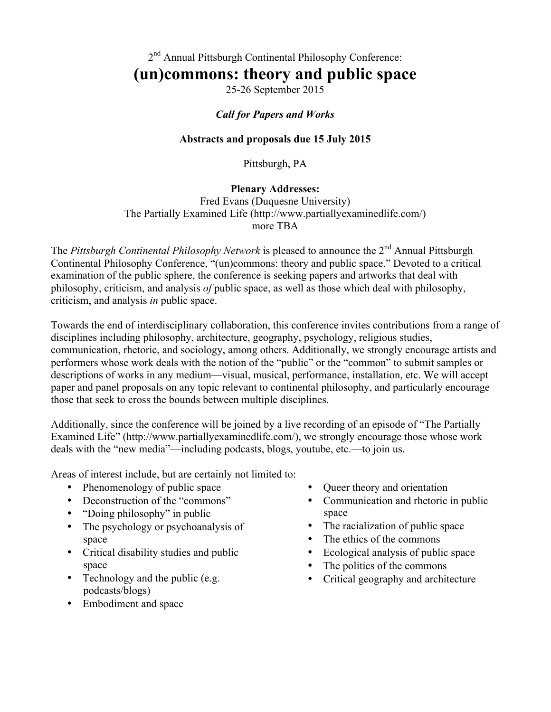2<sup>nd</sup> Annual Pittsburgh Continental Philosophy Conference:

# **(un)commons: theory and public space**

25-26 September 2015

## *Call for Papers and Works*

#### **Abstracts and proposals due 15 July 2015**

Pittsburgh, PA

#### **Plenary Addresses:**

Fred Evans (Duquesne University) The Partially Examined Life (http://www.partiallyexaminedlife.com/) more TBA

The *Pittsburgh Continental Philosophy Network* is pleased to announce the 2<sup>nd</sup> Annual Pittsburgh Continental Philosophy Conference, "(un)commons: theory and public space." Devoted to a critical examination of the public sphere, the conference is seeking papers and artworks that deal with philosophy, criticism, and analysis *of* public space, as well as those which deal with philosophy, criticism, and analysis *in* public space.

Towards the end of interdisciplinary collaboration, this conference invites contributions from a range of disciplines including philosophy, architecture, geography, psychology, religious studies, communication, rhetoric, and sociology, among others. Additionally, we strongly encourage artists and performers whose work deals with the notion of the "public" or the "common" to submit samples or descriptions of works in any medium—visual, musical, performance, installation, etc. We will accept paper and panel proposals on any topic relevant to continental philosophy, and particularly encourage those that seek to cross the bounds between multiple disciplines.

Additionally, since the conference will be joined by a live recording of an episode of "The Partially Examined Life" (http://www.partiallyexaminedlife.com/), we strongly encourage those whose work deals with the "new media"—including podcasts, blogs, youtube, etc.—to join us.

Areas of interest include, but are certainly not limited to:

- Phenomenology of public space
- Deconstruction of the "commons"
- "Doing philosophy" in public
- The psychology or psychoanalysis of space
- Critical disability studies and public space
- Technology and the public (e.g. podcasts/blogs)
- Embodiment and space
- Queer theory and orientation
- Communication and rhetoric in public space
- The racialization of public space
- The ethics of the commons
- Ecological analysis of public space
- The politics of the commons
- Critical geography and architecture